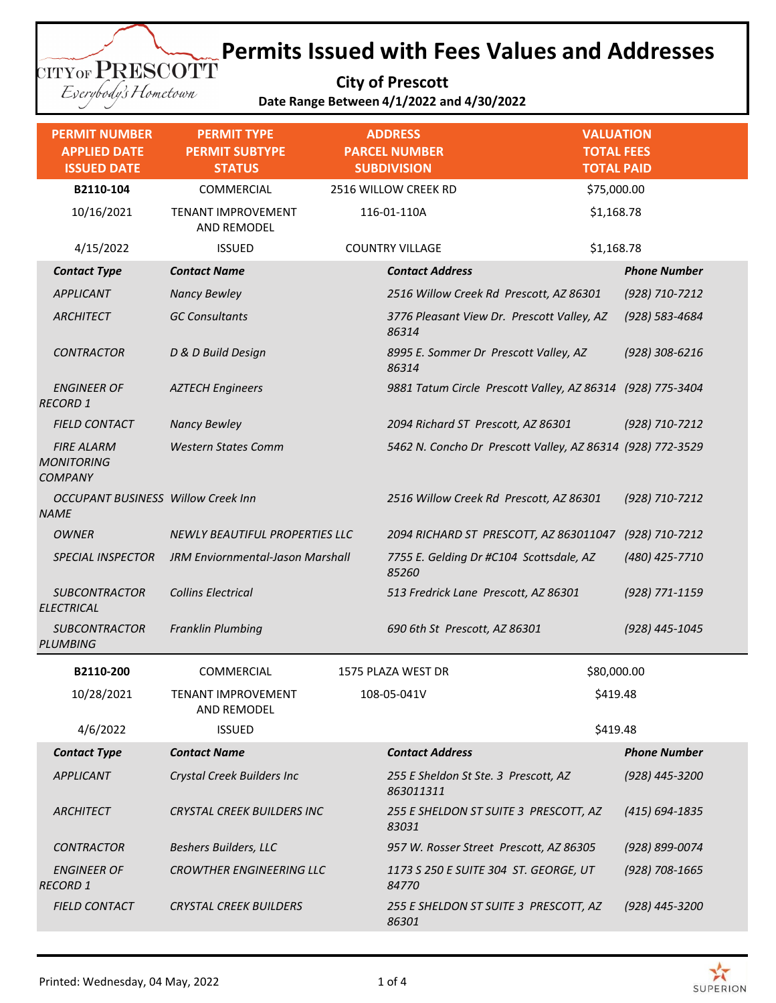**City of Prescott Date Range Between 4/1/2022 and 4/30/2022**

Everybody's Hometown

CITYOF PRESCOTT

| <b>PERMIT NUMBER</b><br><b>APPLIED DATE</b><br><b>ISSUED DATE</b> | <b>PERMIT TYPE</b><br><b>PERMIT SUBTYPE</b><br><b>STATUS</b> |             | <b>ADDRESS</b><br><b>PARCEL NUMBER</b><br><b>SUBDIVISION</b> | <b>VALUATION</b><br><b>TOTAL FEES</b><br><b>TOTAL PAID</b> |                     |
|-------------------------------------------------------------------|--------------------------------------------------------------|-------------|--------------------------------------------------------------|------------------------------------------------------------|---------------------|
| B2110-104                                                         | COMMERCIAL                                                   |             | 2516 WILLOW CREEK RD                                         | \$75,000.00                                                |                     |
| 10/16/2021                                                        | TENANT IMPROVEMENT<br>AND REMODEL                            |             | 116-01-110A                                                  | \$1,168.78                                                 |                     |
| 4/15/2022                                                         | <b>ISSUED</b>                                                |             | <b>COUNTRY VILLAGE</b>                                       | \$1,168.78                                                 |                     |
| <b>Contact Type</b>                                               | <b>Contact Name</b>                                          |             | <b>Contact Address</b>                                       |                                                            | <b>Phone Number</b> |
| <b>APPLICANT</b>                                                  | <b>Nancy Bewley</b>                                          |             | 2516 Willow Creek Rd Prescott, AZ 86301                      |                                                            | (928) 710-7212      |
| <b>ARCHITECT</b>                                                  | <b>GC Consultants</b>                                        |             | 3776 Pleasant View Dr. Prescott Valley, AZ<br>86314          |                                                            | (928) 583-4684      |
| <b>CONTRACTOR</b>                                                 | D & D Build Design                                           |             | 8995 E. Sommer Dr Prescott Valley, AZ<br>86314               |                                                            | $(928)$ 308-6216    |
| <b>ENGINEER OF</b><br><b>RECORD 1</b>                             | <b>AZTECH Engineers</b>                                      |             | 9881 Tatum Circle Prescott Valley, AZ 86314 (928) 775-3404   |                                                            |                     |
| <b>FIELD CONTACT</b>                                              | <b>Nancy Bewley</b>                                          |             | 2094 Richard ST Prescott, AZ 86301                           |                                                            | (928) 710-7212      |
| <b>FIRE ALARM</b><br><b>MONITORING</b><br><b>COMPANY</b>          | <b>Western States Comm</b>                                   |             | 5462 N. Concho Dr Prescott Valley, AZ 86314 (928) 772-3529   |                                                            |                     |
| <b>OCCUPANT BUSINESS Willow Creek Inn</b><br><b>NAME</b>          |                                                              |             | 2516 Willow Creek Rd Prescott, AZ 86301                      |                                                            | (928) 710-7212      |
| <b>OWNER</b>                                                      | <b>NEWLY BEAUTIFUL PROPERTIES LLC</b>                        |             | 2094 RICHARD ST PRESCOTT, AZ 863011047                       |                                                            | (928) 710-7212      |
| <b>SPECIAL INSPECTOR</b>                                          | JRM Enviornmental-Jason Marshall                             |             | 7755 E. Gelding Dr #C104 Scottsdale, AZ<br>85260             |                                                            | (480) 425-7710      |
| <b>SUBCONTRACTOR</b><br><b>ELECTRICAL</b>                         | <b>Collins Electrical</b>                                    |             | 513 Fredrick Lane Prescott, AZ 86301                         |                                                            | (928) 771-1159      |
| <b>SUBCONTRACTOR</b><br><b>PLUMBING</b>                           | <b>Franklin Plumbing</b>                                     |             | 690 6th St Prescott, AZ 86301                                |                                                            | (928) 445-1045      |
| B2110-200                                                         | COMMERCIAL                                                   |             | 1575 PLAZA WEST DR                                           | \$80,000.00                                                |                     |
| 10/28/2021                                                        | TENANT IMPROVEMENT<br>AND REMODEL                            | 108-05-041V |                                                              | \$419.48                                                   |                     |
| 4/6/2022                                                          | <b>ISSUED</b>                                                |             |                                                              | \$419.48                                                   |                     |
| <b>Contact Type</b>                                               | <b>Contact Name</b>                                          |             | <b>Contact Address</b>                                       |                                                            | <b>Phone Number</b> |
| APPLICANT                                                         | Crystal Creek Builders Inc                                   |             | 255 E Sheldon St Ste. 3 Prescott, AZ<br>863011311            |                                                            | (928) 445-3200      |
| ARCHITECT                                                         | <b>CRYSTAL CREEK BUILDERS INC</b>                            |             | 255 E SHELDON ST SUITE 3 PRESCOTT, AZ<br>83031               |                                                            | $(415) 694 - 1835$  |
| <b>CONTRACTOR</b>                                                 | <b>Beshers Builders, LLC</b>                                 |             | 957 W. Rosser Street Prescott, AZ 86305                      |                                                            | (928) 899-0074      |
| <b>ENGINEER OF</b><br><b>RECORD 1</b>                             | <b>CROWTHER ENGINEERING LLC</b>                              |             | 1173 S 250 E SUITE 304 ST. GEORGE, UT<br>84770               |                                                            | $(928)$ 708-1665    |
| <b>FIELD CONTACT</b>                                              | <b>CRYSTAL CREEK BUILDERS</b>                                |             | 255 E SHELDON ST SUITE 3 PRESCOTT, AZ<br>86301               |                                                            | (928) 445-3200      |



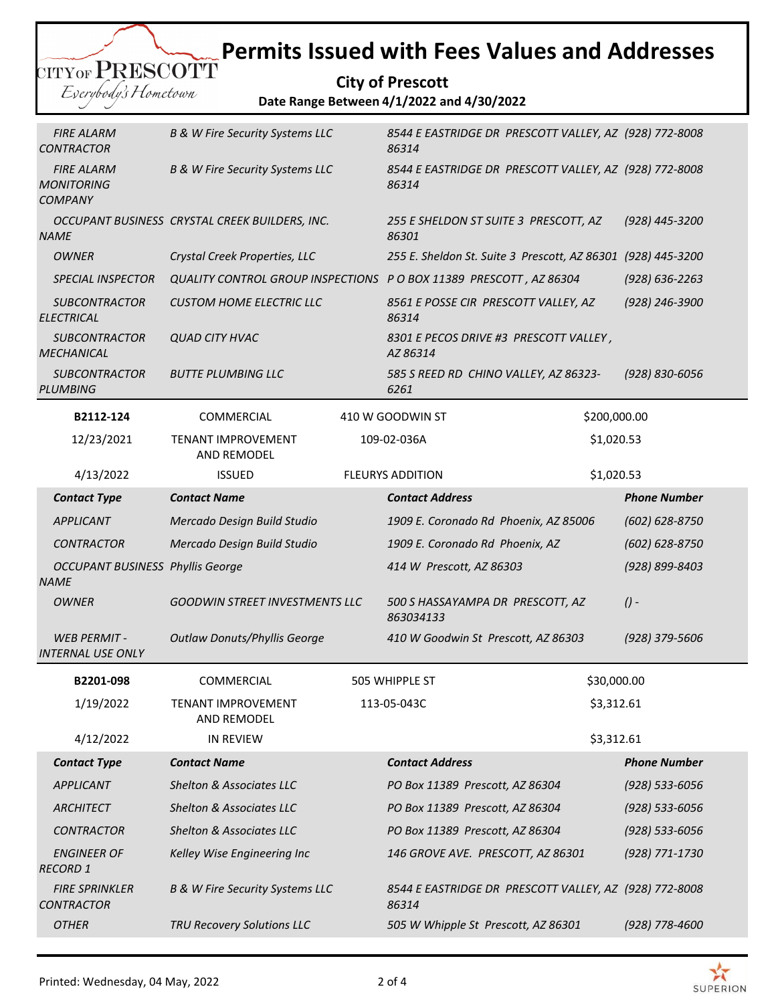|                      | CITYOF PRESCOTT |
|----------------------|-----------------|
|                      |                 |
| Everybody's Hometown |                 |
|                      |                 |

**City of Prescott Date Range Between 4/1/2022 and 4/30/2022**

| <b>FIRE ALARM</b><br><b>CONTRACTOR</b>                   | <b>B &amp; W Fire Security Systems LLC</b>                         |  | 8544 E EASTRIDGE DR PRESCOTT VALLEY, AZ (928) 772-8008<br>86314 |                                                        |                     |  |
|----------------------------------------------------------|--------------------------------------------------------------------|--|-----------------------------------------------------------------|--------------------------------------------------------|---------------------|--|
| <b>FIRE ALARM</b><br><b>MONITORING</b><br><b>COMPANY</b> | <b>B &amp; W Fire Security Systems LLC</b>                         |  | 8544 E EASTRIDGE DR PRESCOTT VALLEY, AZ (928) 772-8008<br>86314 |                                                        |                     |  |
| <b>NAME</b>                                              | OCCUPANT BUSINESS CRYSTAL CREEK BUILDERS, INC.                     |  | 255 E SHELDON ST SUITE 3 PRESCOTT, AZ<br>86301                  |                                                        | (928) 445-3200      |  |
| <b>OWNER</b>                                             | Crystal Creek Properties, LLC                                      |  | 255 E. Sheldon St. Suite 3 Prescott, AZ 86301                   |                                                        | (928) 445-3200      |  |
| <b>SPECIAL INSPECTOR</b>                                 | QUALITY CONTROL GROUP INSPECTIONS P O BOX 11389 PRESCOTT, AZ 86304 |  |                                                                 |                                                        | $(928) 636 - 2263$  |  |
| <b>SUBCONTRACTOR</b><br><b>ELECTRICAL</b>                | <b>CUSTOM HOME ELECTRIC LLC</b>                                    |  | 8561 E POSSE CIR PRESCOTT VALLEY, AZ<br>86314                   |                                                        | (928) 246-3900      |  |
| <b>SUBCONTRACTOR</b><br><b>MECHANICAL</b>                | <b>QUAD CITY HVAC</b>                                              |  | 8301 E PECOS DRIVE #3 PRESCOTT VALLEY,<br>AZ 86314              |                                                        |                     |  |
| <b>SUBCONTRACTOR</b><br>PLUMBING                         | <b>BUTTE PLUMBING LLC</b>                                          |  | 585 S REED RD CHINO VALLEY, AZ 86323-<br>6261                   |                                                        | (928) 830-6056      |  |
| B2112-124                                                | <b>COMMERCIAL</b>                                                  |  | 410 W GOODWIN ST                                                | \$200,000.00                                           |                     |  |
| 12/23/2021                                               | TENANT IMPROVEMENT<br><b>AND REMODEL</b>                           |  | 109-02-036A                                                     | \$1,020.53                                             |                     |  |
| 4/13/2022                                                | <b>ISSUED</b>                                                      |  | <b>FLEURYS ADDITION</b>                                         | \$1,020.53                                             |                     |  |
| <b>Contact Type</b>                                      | <b>Contact Name</b>                                                |  | <b>Contact Address</b>                                          |                                                        | <b>Phone Number</b> |  |
| <b>APPLICANT</b>                                         | Mercado Design Build Studio                                        |  | 1909 E. Coronado Rd Phoenix, AZ 85006                           |                                                        | $(602) 628 - 8750$  |  |
| <b>CONTRACTOR</b>                                        | Mercado Design Build Studio                                        |  | 1909 E. Coronado Rd Phoenix, AZ                                 |                                                        |                     |  |
| <b>OCCUPANT BUSINESS Phyllis George</b><br><b>NAME</b>   |                                                                    |  | 414 W Prescott, AZ 86303                                        |                                                        | (928) 899-8403      |  |
| <b>OWNER</b>                                             | <b>GOODWIN STREET INVESTMENTS LLC</b>                              |  | 500 S HASSAYAMPA DR PRESCOTT, AZ<br>863034133                   |                                                        | $($ ) -             |  |
| <b>WEB PERMIT -</b><br><b>INTERNAL USE ONLY</b>          | <b>Outlaw Donuts/Phyllis George</b>                                |  | 410 W Goodwin St Prescott, AZ 86303                             |                                                        | (928) 379-5606      |  |
| B2201-098                                                | <b>COMMERCIAL</b>                                                  |  | 505 WHIPPLE ST                                                  | \$30,000.00                                            |                     |  |
| 1/19/2022                                                | <b>TENANT IMPROVEMENT</b><br>AND REMODEL                           |  | 113-05-043C                                                     | \$3,312.61                                             |                     |  |
| 4/12/2022                                                | <b>IN REVIEW</b>                                                   |  |                                                                 | \$3,312.61                                             |                     |  |
| <b>Contact Type</b>                                      | <b>Contact Name</b>                                                |  | <b>Contact Address</b>                                          |                                                        | <b>Phone Number</b> |  |
| <b>APPLICANT</b>                                         | Shelton & Associates LLC                                           |  | PO Box 11389 Prescott, AZ 86304                                 |                                                        | $(928) 533 - 6056$  |  |
| <b>ARCHITECT</b>                                         | Shelton & Associates LLC                                           |  | PO Box 11389 Prescott, AZ 86304                                 |                                                        | $(928) 533 - 6056$  |  |
| <b>CONTRACTOR</b>                                        | Shelton & Associates LLC                                           |  | PO Box 11389 Prescott, AZ 86304                                 |                                                        | (928) 533-6056      |  |
| <b>ENGINEER OF</b><br><b>RECORD 1</b>                    | Kelley Wise Engineering Inc                                        |  | 146 GROVE AVE. PRESCOTT, AZ 86301                               |                                                        | (928) 771-1730      |  |
| <b>FIRE SPRINKLER</b><br><b>CONTRACTOR</b>               | <b>B &amp; W Fire Security Systems LLC</b>                         |  | 86314                                                           | 8544 E EASTRIDGE DR PRESCOTT VALLEY, AZ (928) 772-8008 |                     |  |
| <b>OTHER</b>                                             | TRU Recovery Solutions LLC                                         |  | 505 W Whipple St Prescott, AZ 86301                             |                                                        | (928) 778-4600      |  |
|                                                          |                                                                    |  |                                                                 |                                                        |                     |  |

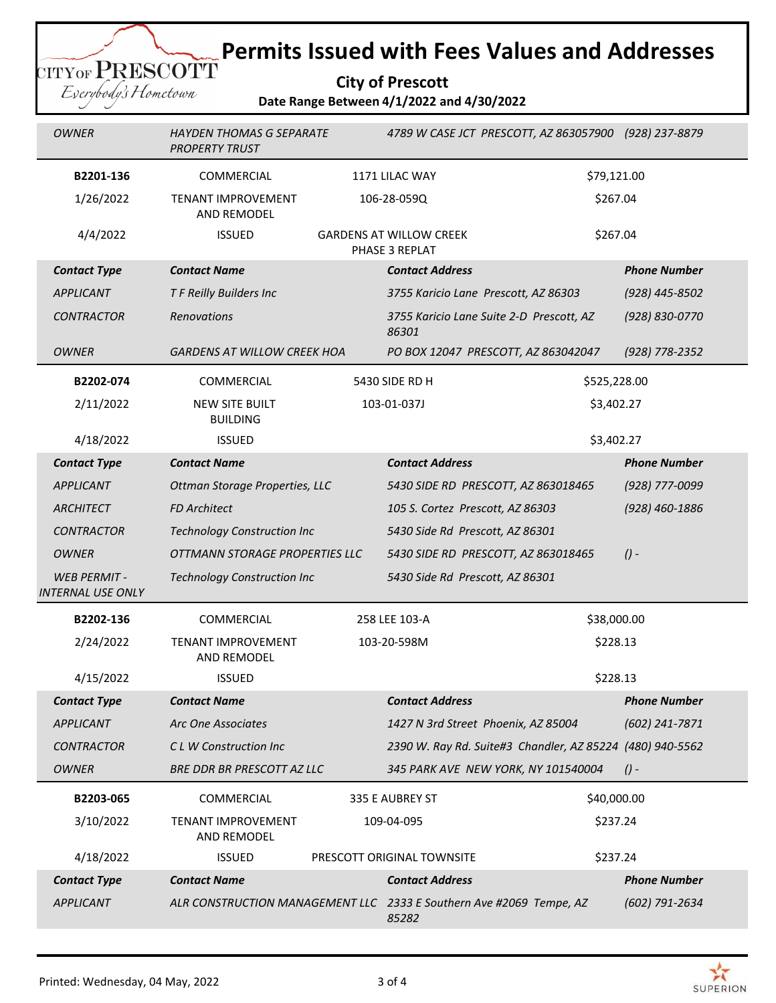**City of Prescott Date Range Between 4/1/2022 and 4/30/2022**

| <b>OWNER</b>                                   | <b>HAYDEN THOMAS G SEPARATE</b><br>4789 W CASE JCT PRESCOTT, AZ 863057900 (928) 237-8879<br><b>PROPERTY TRUST</b> |             |                                                           |                                                                                       |                     |  |
|------------------------------------------------|-------------------------------------------------------------------------------------------------------------------|-------------|-----------------------------------------------------------|---------------------------------------------------------------------------------------|---------------------|--|
| B2201-136                                      | COMMERCIAL                                                                                                        |             | 1171 LILAC WAY                                            | \$79,121.00                                                                           |                     |  |
| 1/26/2022                                      | TENANT IMPROVEMENT<br>AND REMODEL                                                                                 | 106-28-059Q |                                                           | \$267.04                                                                              |                     |  |
| 4/4/2022                                       | <b>ISSUED</b>                                                                                                     |             | <b>GARDENS AT WILLOW CREEK</b><br>PHASE 3 REPLAT          | \$267.04                                                                              |                     |  |
| <b>Contact Type</b>                            | <b>Contact Name</b>                                                                                               |             | <b>Contact Address</b>                                    |                                                                                       | <b>Phone Number</b> |  |
| <b>APPLICANT</b>                               | T F Reilly Builders Inc                                                                                           |             | 3755 Karicio Lane Prescott, AZ 86303                      |                                                                                       | $(928)$ 445-8502    |  |
| <b>CONTRACTOR</b>                              | Renovations                                                                                                       |             | 3755 Karicio Lane Suite 2-D Prescott, AZ<br>86301         |                                                                                       | (928) 830-0770      |  |
| OWNER                                          | <b>GARDENS AT WILLOW CREEK HOA</b>                                                                                |             | PO BOX 12047 PRESCOTT, AZ 863042047                       |                                                                                       | (928) 778-2352      |  |
| B2202-074                                      | COMMERCIAL                                                                                                        |             | 5430 SIDE RD H                                            | \$525,228.00                                                                          |                     |  |
| 2/11/2022                                      | <b>NEW SITE BUILT</b><br><b>BUILDING</b>                                                                          |             | 103-01-037J                                               | \$3,402.27                                                                            |                     |  |
| 4/18/2022                                      | <b>ISSUED</b>                                                                                                     |             |                                                           | \$3,402.27                                                                            |                     |  |
| <b>Contact Type</b>                            | <b>Contact Name</b>                                                                                               |             | <b>Contact Address</b>                                    |                                                                                       | <b>Phone Number</b> |  |
| <b>APPLICANT</b>                               | Ottman Storage Properties, LLC                                                                                    |             | 5430 SIDE RD PRESCOTT, AZ 863018465                       |                                                                                       | (928) 777-0099      |  |
| ARCHITECT                                      | <b>FD Architect</b>                                                                                               |             | 105 S. Cortez Prescott, AZ 86303                          |                                                                                       | (928) 460-1886      |  |
| <b>CONTRACTOR</b>                              | <b>Technology Construction Inc</b>                                                                                |             | 5430 Side Rd Prescott, AZ 86301                           |                                                                                       |                     |  |
| <b>OWNER</b>                                   | OTTMANN STORAGE PROPERTIES LLC                                                                                    |             | $($ ) -<br>5430 SIDE RD PRESCOTT, AZ 863018465            |                                                                                       |                     |  |
| <b>WEB PERMIT-</b><br><b>INTERNAL USE ONLY</b> | <b>Technology Construction Inc</b>                                                                                |             | 5430 Side Rd Prescott, AZ 86301                           |                                                                                       |                     |  |
| B2202-136                                      | <b>COMMERCIAL</b>                                                                                                 |             | 258 LEE 103-A<br>\$38,000.00                              |                                                                                       |                     |  |
| 2/24/2022                                      | TENANT IMPROVEMENT<br>AND REMODEL                                                                                 |             | 103-20-598M                                               | \$228.13                                                                              |                     |  |
| 4/15/2022                                      | <b>ISSUED</b>                                                                                                     |             |                                                           | \$228.13                                                                              |                     |  |
| <b>Contact Type</b>                            | <b>Contact Name</b>                                                                                               |             | <b>Contact Address</b>                                    |                                                                                       | <b>Phone Number</b> |  |
| <b>APPLICANT</b>                               | Arc One Associates                                                                                                |             | 1427 N 3rd Street Phoenix, AZ 85004                       |                                                                                       | (602) 241-7871      |  |
| <b>CONTRACTOR</b>                              | C L W Construction Inc                                                                                            |             | 2390 W. Ray Rd. Suite#3 Chandler, AZ 85224 (480) 940-5562 |                                                                                       |                     |  |
| <b>OWNER</b>                                   | <b>BRE DDR BR PRESCOTT AZ LLC</b>                                                                                 |             | 345 PARK AVE NEW YORK, NY 101540004                       |                                                                                       | $($ ) -             |  |
| B2203-065                                      | COMMERCIAL                                                                                                        |             | 335 E AUBREY ST                                           | \$40,000.00                                                                           |                     |  |
| 3/10/2022                                      | TENANT IMPROVEMENT<br>AND REMODEL                                                                                 |             | 109-04-095                                                | \$237.24                                                                              |                     |  |
| 4/18/2022                                      | <b>ISSUED</b>                                                                                                     |             | PRESCOTT ORIGINAL TOWNSITE                                |                                                                                       | \$237.24            |  |
| <b>Contact Type</b>                            | <b>Contact Name</b>                                                                                               |             | <b>Contact Address</b>                                    |                                                                                       | <b>Phone Number</b> |  |
| <b>APPLICANT</b>                               |                                                                                                                   |             | 85282                                                     | ALR CONSTRUCTION MANAGEMENT LLC 2333 E Southern Ave #2069 Tempe, AZ<br>(602) 791-2634 |                     |  |

CITY OF PRESCOTT Everybody's Hometown